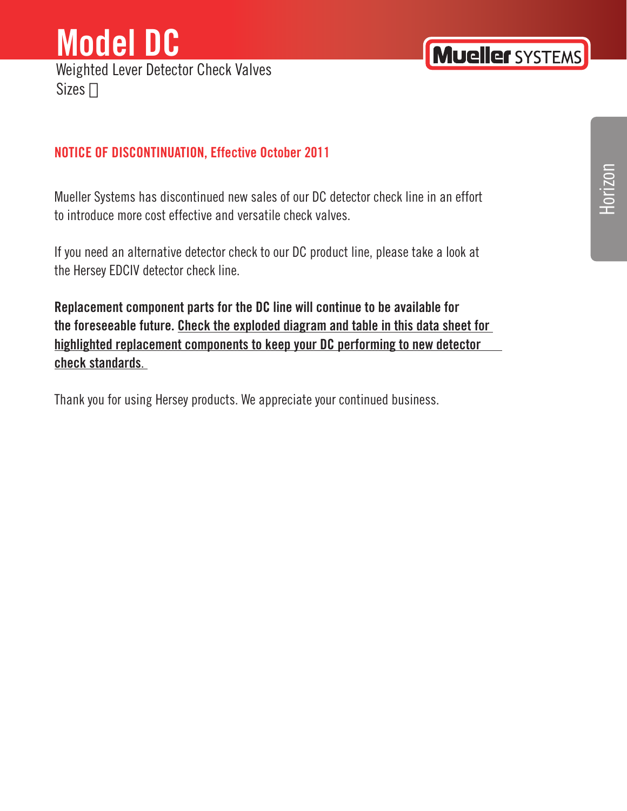### **Model DC**  Weighted Lever Detector Check Valves Sizes #

#### **NOTICE OF DISCONTINUATION, Effective October 2011**

Mueller Systems has discontinued new sales of our DC detector check line in an effort to introduce more cost effective and versatile check valves.

If you need an alternative detector check to our DC product line, please take a look at the Hersey EDCIV detector check line.

**Replacement component parts for the DC line will continue to be available for the foreseeable future. Check the exploded diagram and table in this data sheet for highlighted replacement components to keep your DC performing to new detector check standards**.

Thank you for using Hersey products. We appreciate your continued business.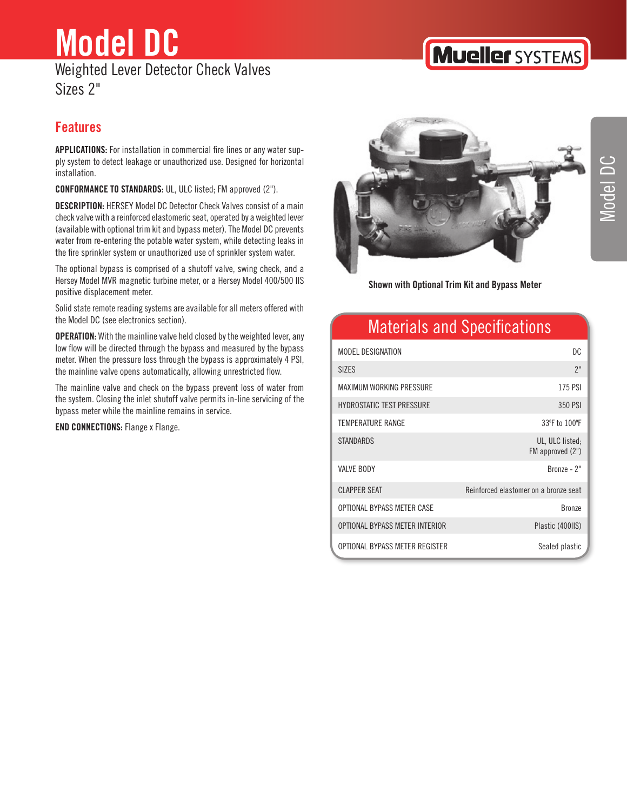### **Model DC** Weighted Lever Detector Check Valves Sizes 2"

## **Features**

**APPLICATIONS:** For installation in commercial fire lines or any water supply system to detect leakage or unauthorized use. Designed for horizontal installation.

**CONFORMANCE TO STANDARDS:** UL, ULC listed; FM approved (2").

**DESCRIPTION:** HERSEY Model DC Detector Check Valves consist of a main check valve with a reinforced elastomeric seat, operated by a weighted lever (available with optional trim kit and bypass meter). The Model DC prevents water from re-entering the potable water system, while detecting leaks in the fire sprinkler system or unauthorized use of sprinkler system water.

The optional bypass is comprised of a shutoff valve, swing check, and a Hersey Model MVR magnetic turbine meter, or a Hersey Model 400/500 IIS positive displacement meter.

Solid state remote reading systems are available for all meters offered with the Model DC (see electronics section).

**OPERATION:** With the mainline valve held closed by the weighted lever, any low flow will be directed through the bypass and measured by the bypass meter. When the pressure loss through the bypass is approximately 4 PSI, the mainline valve opens automatically, allowing unrestricted flow.

The mainline valve and check on the bypass prevent loss of water from the system. Closing the inlet shutoff valve permits in-line servicing of the bypass meter while the mainline remains in service.

**END CONNECTIONS:** Flange x Flange.



**Shown with Optional Trim Kit and Bypass Meter**

### Materials and Specifications

| MODEL DESIGNATION                | DC                                    |
|----------------------------------|---------------------------------------|
| <b>SIZES</b>                     | 2"                                    |
| MAXIMUM WORKING PRESSURE         | 175 PSI                               |
| <b>HYDROSTATIC TEST PRESSURE</b> | 350 PSI                               |
| TEMPERATURE RANGE                | 33°F to 100°F                         |
| <b>STANDARDS</b>                 | UL, ULC listed;<br>FM approved (2")   |
| VAIVE BODY                       | $Bronze - 2"$                         |
| <b>CLAPPER SEAT</b>              | Reinforced elastomer on a bronze seat |
| OPTIONAL BYPASS METER CASE       | <b>Bronze</b>                         |
| OPTIONAL BYPASS METER INTERIOR   | Plastic (400IIS)                      |
| OPTIONAL BYPASS METER REGISTER   | Sealed plastic                        |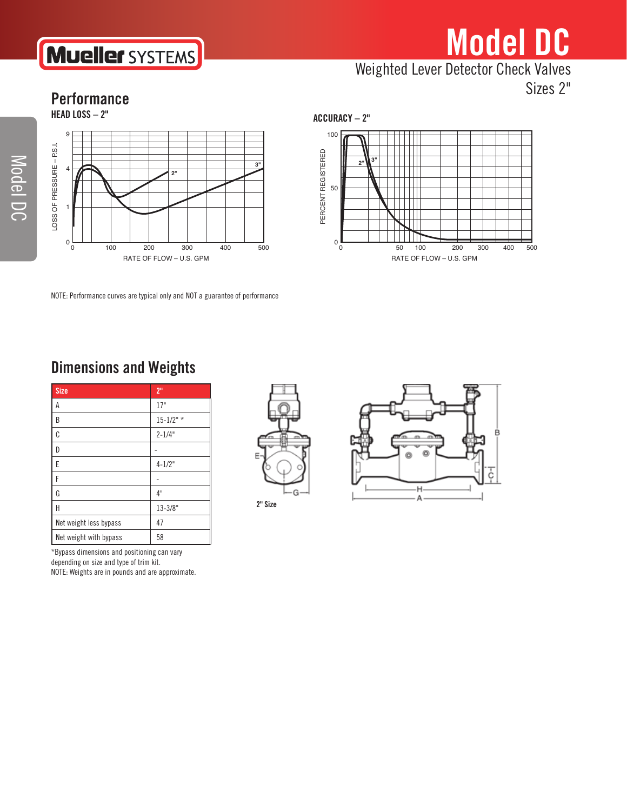# **Mueller SYSTEMS**

# **Model DC** Weighted Lever Detector Check Valves

Sizes 2"

#### **Performance**



NOTE: Performance curves are typical only and NOT a guarantee of performance

**ACCURACY – 2"**



### **Dimensions and Weights**

| <b>Size</b>            | 2 <sup>11</sup> |  |
|------------------------|-----------------|--|
| А                      | 17"             |  |
| B                      | $15 - 1/2"$     |  |
| C                      | $2 - 1/4"$      |  |
| D                      |                 |  |
| E                      | $4 - 1/2"$      |  |
| F                      |                 |  |
| G                      | 4"              |  |
| H                      | $13 - 3/8"$     |  |
| Net weight less bypass | 47              |  |
| Net weight with bypass | 58              |  |

\*Bypass dimensions and positioning can vary depending on size and type of trim kit. NOTE: Weights are in pounds and are approximate.